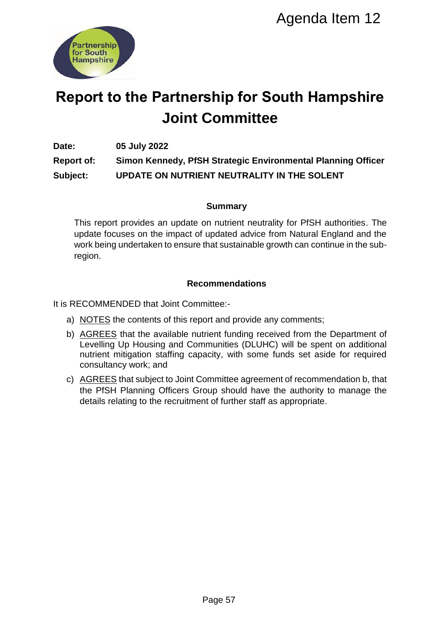

# **Report to the Partnership for South Hampshire Joint Committee**

**Date: 05 July 2022**

**Report of: Simon Kennedy, PfSH Strategic Environmental Planning Officer Subject: UPDATE ON NUTRIENT NEUTRALITY IN THE SOLENT**

### **Summary**

This report provides an update on nutrient neutrality for PfSH authorities. The update focuses on the impact of updated advice from Natural England and the work being undertaken to ensure that sustainable growth can continue in the subregion. Agenda Item 12<br>
Ship for South Hampshire<br>
Committee<br>
H Strategic Environmental Planning Office<br>
INT NEUTRALITY IN THE SOLENT<br>
Summary<br>
mountent neutrality for PfSH authorities. The<br>
updated advice from Natural England and

### **Recommendations**

It is RECOMMENDED that Joint Committee:-

- a) NOTES the contents of this report and provide any comments;
- b) AGREES that the available nutrient funding received from the Department of Levelling Up Housing and Communities (DLUHC) will be spent on additional nutrient mitigation staffing capacity, with some funds set aside for required consultancy work; and
- c) AGREES that subject to Joint Committee agreement of recommendation b, that the PfSH Planning Officers Group should have the authority to manage the details relating to the recruitment of further staff as appropriate.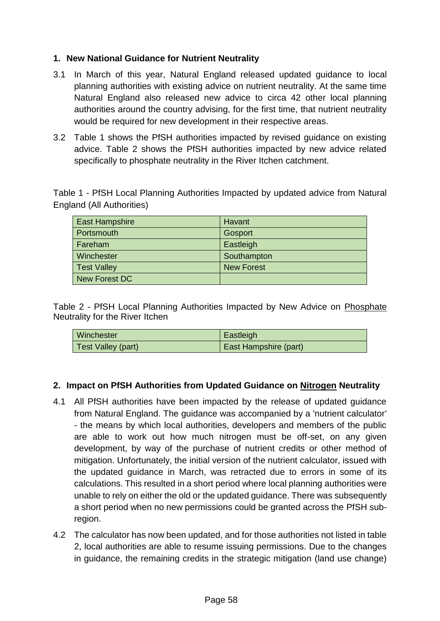### **1. New National Guidance for Nutrient Neutrality**

- 3.1 In March of this year, Natural England released updated guidance to local planning authorities with existing advice on nutrient neutrality. At the same time Natural England also released new advice to circa 42 other local planning authorities around the country advising, for the first time, that nutrient neutrality would be required for new development in their respective areas.
- 3.2 Table 1 shows the PfSH authorities impacted by revised guidance on existing advice. Table 2 shows the PfSH authorities impacted by new advice related specifically to phosphate neutrality in the River Itchen catchment.

Table 1 - PfSH Local Planning Authorities Impacted by updated advice from Natural England (All Authorities)

| <b>East Hampshire</b> | Havant            |
|-----------------------|-------------------|
| Portsmouth            | Gosport           |
| Fareham               | Eastleigh         |
| Winchester            | Southampton       |
| <b>Test Valley</b>    | <b>New Forest</b> |
| <b>New Forest DC</b>  |                   |

Table 2 - PfSH Local Planning Authorities Impacted by New Advice on Phosphate Neutrality for the River Itchen

| l Winchester       | Eastleigh             |
|--------------------|-----------------------|
| Test Valley (part) | East Hampshire (part) |

### **2. Impact on PfSH Authorities from Updated Guidance on Nitrogen Neutrality**

- 4.1 All PfSH authorities have been impacted by the release of updated guidance from Natural England. The guidance was accompanied by a 'nutrient calculator' - the means by which local authorities, developers and members of the public are able to work out how much nitrogen must be off-set, on any given development, by way of the purchase of nutrient credits or other method of mitigation. Unfortunately, the initial version of the nutrient calculator, issued with the updated guidance in March, was retracted due to errors in some of its calculations. This resulted in a short period where local planning authorities were unable to rely on either the old or the updated guidance. There was subsequently a short period when no new permissions could be granted across the PfSH subregion.
- 4.2 The calculator has now been updated, and for those authorities not listed in table 2, local authorities are able to resume issuing permissions. Due to the changes in guidance, the remaining credits in the strategic mitigation (land use change)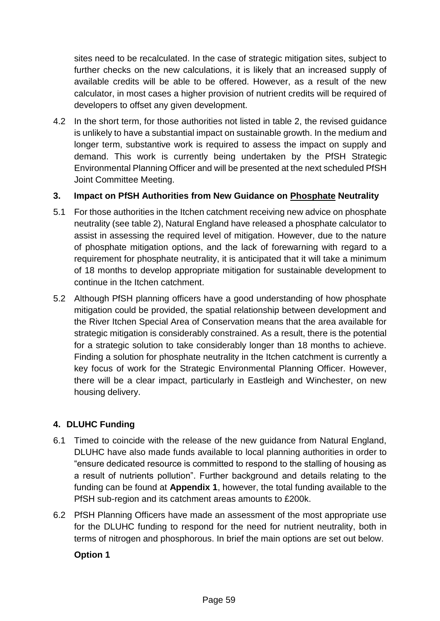sites need to be recalculated. In the case of strategic mitigation sites, subject to further checks on the new calculations, it is likely that an increased supply of available credits will be able to be offered. However, as a result of the new calculator, in most cases a higher provision of nutrient credits will be required of developers to offset any given development.

4.2 In the short term, for those authorities not listed in table 2, the revised guidance is unlikely to have a substantial impact on sustainable growth. In the medium and longer term, substantive work is required to assess the impact on supply and demand. This work is currently being undertaken by the PfSH Strategic Environmental Planning Officer and will be presented at the next scheduled PfSH Joint Committee Meeting.

### **3. Impact on PfSH Authorities from New Guidance on Phosphate Neutrality**

- 5.1 For those authorities in the Itchen catchment receiving new advice on phosphate neutrality (see table 2), Natural England have released a phosphate calculator to assist in assessing the required level of mitigation. However, due to the nature of phosphate mitigation options, and the lack of forewarning with regard to a requirement for phosphate neutrality, it is anticipated that it will take a minimum of 18 months to develop appropriate mitigation for sustainable development to continue in the Itchen catchment.
- 5.2 Although PfSH planning officers have a good understanding of how phosphate mitigation could be provided, the spatial relationship between development and the River Itchen Special Area of Conservation means that the area available for strategic mitigation is considerably constrained. As a result, there is the potential for a strategic solution to take considerably longer than 18 months to achieve. Finding a solution for phosphate neutrality in the Itchen catchment is currently a key focus of work for the Strategic Environmental Planning Officer. However, there will be a clear impact, particularly in Eastleigh and Winchester, on new housing delivery.

# **4. DLUHC Funding**

- 6.1 Timed to coincide with the release of the new guidance from Natural England, DLUHC have also made funds available to local planning authorities in order to "ensure dedicated resource is committed to respond to the stalling of housing as a result of nutrients pollution". Further background and details relating to the funding can be found at **Appendix 1**, however, the total funding available to the PfSH sub-region and its catchment areas amounts to £200k.
- 6.2 PfSH Planning Officers have made an assessment of the most appropriate use for the DLUHC funding to respond for the need for nutrient neutrality, both in terms of nitrogen and phosphorous. In brief the main options are set out below.

### **Option 1**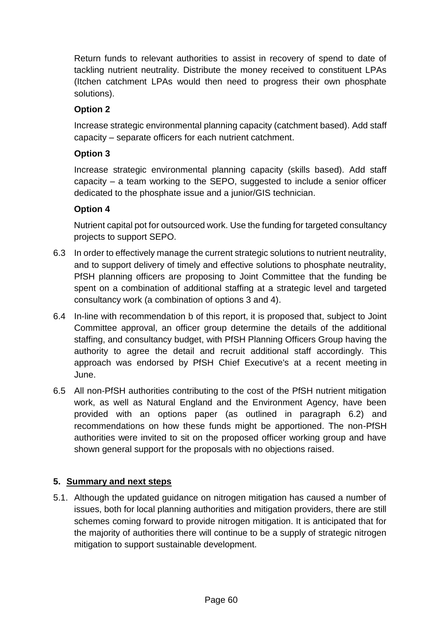Return funds to relevant authorities to assist in recovery of spend to date of tackling nutrient neutrality. Distribute the money received to constituent LPAs (Itchen catchment LPAs would then need to progress their own phosphate solutions).

# **Option 2**

Increase strategic environmental planning capacity (catchment based). Add staff capacity – separate officers for each nutrient catchment.

# **Option 3**

Increase strategic environmental planning capacity (skills based). Add staff capacity – a team working to the SEPO, suggested to include a senior officer dedicated to the phosphate issue and a junior/GIS technician.

### **Option 4**

Nutrient capital pot for outsourced work. Use the funding for targeted consultancy projects to support SEPO.

- 6.3 In order to effectively manage the current strategic solutions to nutrient neutrality, and to support delivery of timely and effective solutions to phosphate neutrality, PfSH planning officers are proposing to Joint Committee that the funding be spent on a combination of additional staffing at a strategic level and targeted consultancy work (a combination of options 3 and 4).
- 6.4 In-line with recommendation b of this report, it is proposed that, subject to Joint Committee approval, an officer group determine the details of the additional staffing, and consultancy budget, with PfSH Planning Officers Group having the authority to agree the detail and recruit additional staff accordingly. This approach was endorsed by PfSH Chief Executive's at a recent meeting in June.
- 6.5 All non-PfSH authorities contributing to the cost of the PfSH nutrient mitigation work, as well as Natural England and the Environment Agency, have been provided with an options paper (as outlined in paragraph 6.2) and recommendations on how these funds might be apportioned. The non-PfSH authorities were invited to sit on the proposed officer working group and have shown general support for the proposals with no objections raised.

### **5. Summary and next steps**

5.1. Although the updated guidance on nitrogen mitigation has caused a number of issues, both for local planning authorities and mitigation providers, there are still schemes coming forward to provide nitrogen mitigation. It is anticipated that for the majority of authorities there will continue to be a supply of strategic nitrogen mitigation to support sustainable development.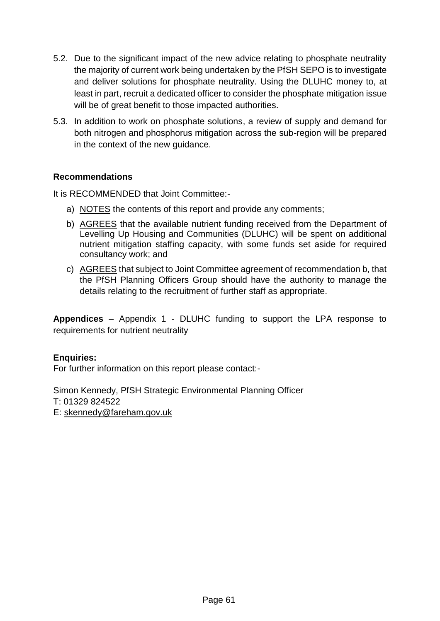- 5.2. Due to the significant impact of the new advice relating to phosphate neutrality the majority of current work being undertaken by the PfSH SEPO is to investigate and deliver solutions for phosphate neutrality. Using the DLUHC money to, at least in part, recruit a dedicated officer to consider the phosphate mitigation issue will be of great benefit to those impacted authorities.
- 5.3. In addition to work on phosphate solutions, a review of supply and demand for both nitrogen and phosphorus mitigation across the sub-region will be prepared in the context of the new guidance.

### **Recommendations**

It is RECOMMENDED that Joint Committee:-

- a) NOTES the contents of this report and provide any comments;
- b) AGREES that the available nutrient funding received from the Department of Levelling Up Housing and Communities (DLUHC) will be spent on additional nutrient mitigation staffing capacity, with some funds set aside for required consultancy work; and
- c) AGREES that subject to Joint Committee agreement of recommendation b, that the PfSH Planning Officers Group should have the authority to manage the details relating to the recruitment of further staff as appropriate.

**Appendices** – Appendix 1 - DLUHC funding to support the LPA response to requirements for nutrient neutrality

### **Enquiries:**

For further information on this report please contact:-

Simon Kennedy, PfSH Strategic Environmental Planning Officer T: 01329 824522 E: [skennedy@fareham.gov.uk](mailto:skennedy@fareham.gov.uk)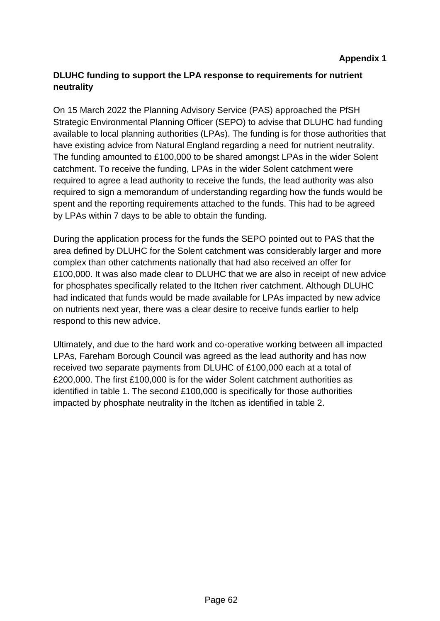# **DLUHC funding to support the LPA response to requirements for nutrient neutrality**

On 15 March 2022 the Planning Advisory Service (PAS) approached the PfSH Strategic Environmental Planning Officer (SEPO) to advise that DLUHC had funding available to local planning authorities (LPAs). The funding is for those authorities that have existing advice from Natural England regarding a need for nutrient neutrality. The funding amounted to £100,000 to be shared amongst LPAs in the wider Solent catchment. To receive the funding, LPAs in the wider Solent catchment were required to agree a lead authority to receive the funds, the lead authority was also required to sign a memorandum of understanding regarding how the funds would be spent and the reporting requirements attached to the funds. This had to be agreed by LPAs within 7 days to be able to obtain the funding.

During the application process for the funds the SEPO pointed out to PAS that the area defined by DLUHC for the Solent catchment was considerably larger and more complex than other catchments nationally that had also received an offer for £100,000. It was also made clear to DLUHC that we are also in receipt of new advice for phosphates specifically related to the Itchen river catchment. Although DLUHC had indicated that funds would be made available for LPAs impacted by new advice on nutrients next year, there was a clear desire to receive funds earlier to help respond to this new advice.

Ultimately, and due to the hard work and co-operative working between all impacted LPAs, Fareham Borough Council was agreed as the lead authority and has now received two separate payments from DLUHC of £100,000 each at a total of £200,000. The first £100,000 is for the wider Solent catchment authorities as identified in table 1. The second £100,000 is specifically for those authorities impacted by phosphate neutrality in the Itchen as identified in table 2.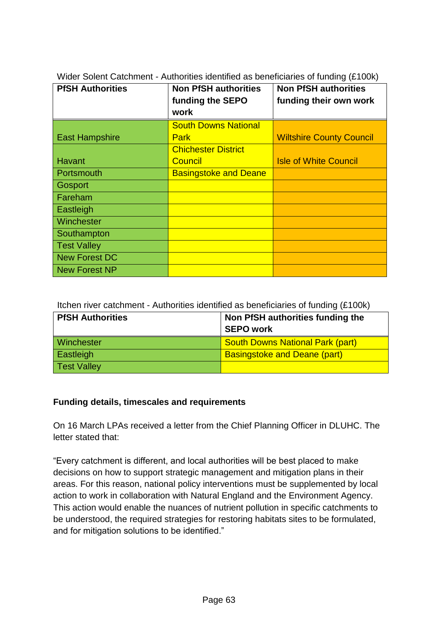| <b>PfSH Authorities</b> | <b>Non PfSH authorities</b><br>funding the SEPO<br>work | <b>Non PfSH authorities</b><br>funding their own work |
|-------------------------|---------------------------------------------------------|-------------------------------------------------------|
|                         | <b>South Downs National</b>                             |                                                       |
| <b>East Hampshire</b>   | <b>Park</b>                                             | <b>Wiltshire County Council</b>                       |
|                         | <b>Chichester District</b>                              |                                                       |
| Havant                  | <b>Council</b>                                          | <b>Isle of White Council</b>                          |
| Portsmouth              | <b>Basingstoke and Deane</b>                            |                                                       |
| Gosport                 |                                                         |                                                       |
| Fareham                 |                                                         |                                                       |
| Eastleigh               |                                                         |                                                       |
| Winchester              |                                                         |                                                       |
| Southampton             |                                                         |                                                       |
| <b>Test Valley</b>      |                                                         |                                                       |
| <b>New Forest DC</b>    |                                                         |                                                       |
| <b>New Forest NP</b>    |                                                         |                                                       |

Wider Solent Catchment - Authorities identified as beneficiaries of funding (£100k)

Itchen river catchment - Authorities identified as beneficiaries of funding (£100k)

| <b>PfSH Authorities</b> | Non PfSH authorities funding the        |  |
|-------------------------|-----------------------------------------|--|
|                         | SEPO work                               |  |
| <b>Winchester</b>       | <b>South Downs National Park (part)</b> |  |
| Eastleigh               | <b>Basingstoke and Deane (part)</b>     |  |
| <b>Test Valley</b>      |                                         |  |

### **Funding details, timescales and requirements**

On 16 March LPAs received a letter from the Chief Planning Officer in DLUHC. The letter stated that:

"Every catchment is different, and local authorities will be best placed to make decisions on how to support strategic management and mitigation plans in their areas. For this reason, national policy interventions must be supplemented by local action to work in collaboration with Natural England and the Environment Agency. This action would enable the nuances of nutrient pollution in specific catchments to be understood, the required strategies for restoring habitats sites to be formulated, and for mitigation solutions to be identified."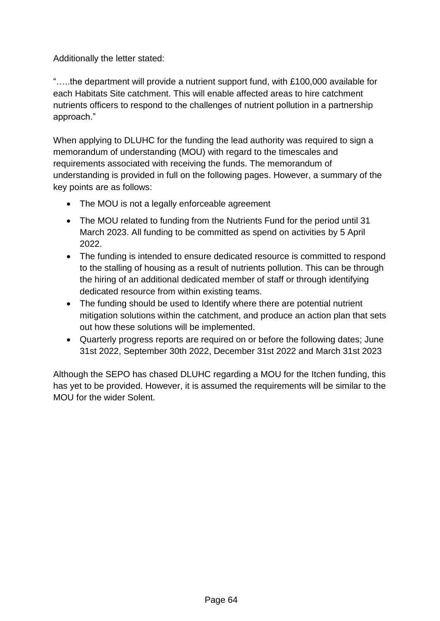Additionally the letter stated:

"…..the department will provide a nutrient support fund, with £100,000 available for each Habitats Site catchment. This will enable affected areas to hire catchment nutrients officers to respond to the challenges of nutrient pollution in a partnership approach."

When applying to DLUHC for the funding the lead authority was required to sign a memorandum of understanding (MOU) with regard to the timescales and requirements associated with receiving the funds. The memorandum of understanding is provided in full on the following pages. However, a summary of the key points are as follows:

- The MOU is not a legally enforceable agreement
- The MOU related to funding from the Nutrients Fund for the period until 31 March 2023. All funding to be committed as spend on activities by 5 April 2022.
- The funding is intended to ensure dedicated resource is committed to respond to the stalling of housing as a result of nutrients pollution. This can be through the hiring of an additional dedicated member of staff or through identifying dedicated resource from within existing teams.
- The funding should be used to Identify where there are potential nutrient mitigation solutions within the catchment, and produce an action plan that sets out how these solutions will be implemented.
- Quarterly progress reports are required on or before the following dates; June 31st 2022, September 30th 2022, December 31st 2022 and March 31st 2023

Although the SEPO has chased DLUHC regarding a MOU for the Itchen funding, this has yet to be provided. However, it is assumed the requirements will be similar to the MOU for the wider Solent.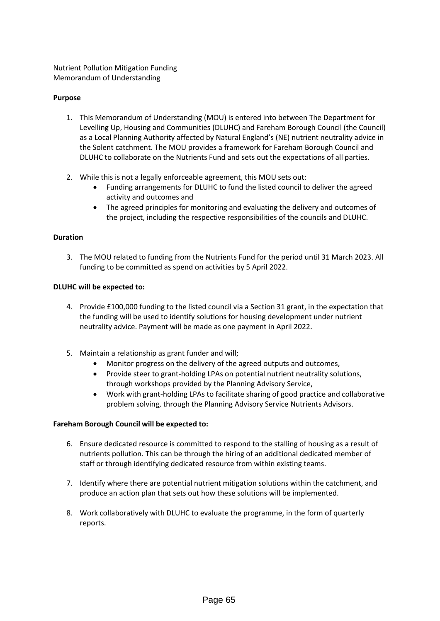Nutrient Pollution Mitigation Funding Memorandum of Understanding

#### **Purpose**

- 1. This Memorandum of Understanding (MOU) is entered into between The Department for Levelling Up, Housing and Communities (DLUHC) and Fareham Borough Council (the Council) as a Local Planning Authority affected by Natural England's (NE) nutrient neutrality advice in the Solent catchment. The MOU provides a framework for Fareham Borough Council and DLUHC to collaborate on the Nutrients Fund and sets out the expectations of all parties.
- 2. While this is not a legally enforceable agreement, this MOU sets out:
	- Funding arrangements for DLUHC to fund the listed council to deliver the agreed activity and outcomes and
	- The agreed principles for monitoring and evaluating the delivery and outcomes of the project, including the respective responsibilities of the councils and DLUHC.

#### **Duration**

3. The MOU related to funding from the Nutrients Fund for the period until 31 March 2023. All funding to be committed as spend on activities by 5 April 2022.

#### **DLUHC will be expected to:**

- 4. Provide £100,000 funding to the listed council via a Section 31 grant, in the expectation that the funding will be used to identify solutions for housing development under nutrient neutrality advice. Payment will be made as one payment in April 2022.
- 5. Maintain a relationship as grant funder and will;
	- Monitor progress on the delivery of the agreed outputs and outcomes,
	- Provide steer to grant-holding LPAs on potential nutrient neutrality solutions, through workshops provided by the Planning Advisory Service,
	- Work with grant-holding LPAs to facilitate sharing of good practice and collaborative problem solving, through the Planning Advisory Service Nutrients Advisors.

#### **Fareham Borough Council will be expected to:**

- 6. Ensure dedicated resource is committed to respond to the stalling of housing as a result of nutrients pollution. This can be through the hiring of an additional dedicated member of staff or through identifying dedicated resource from within existing teams.
- 7. Identify where there are potential nutrient mitigation solutions within the catchment, and produce an action plan that sets out how these solutions will be implemented.
- 8. Work collaboratively with DLUHC to evaluate the programme, in the form of quarterly reports.